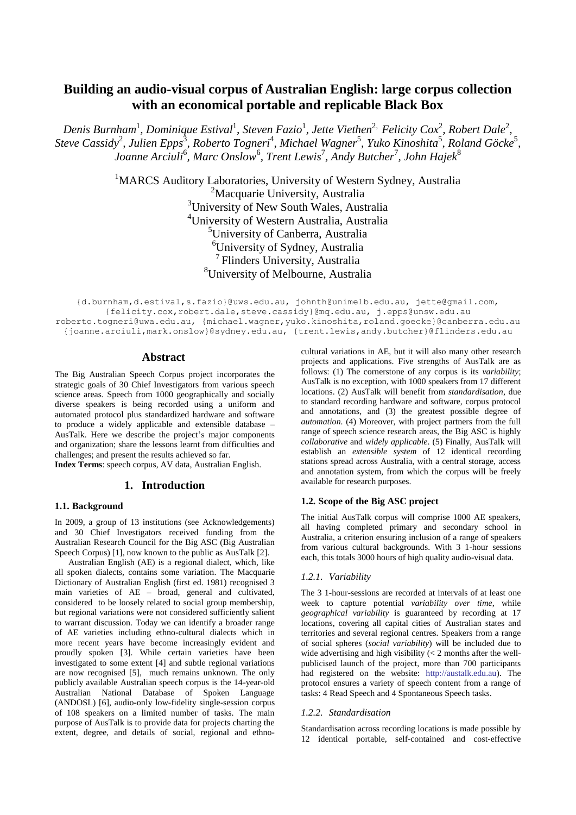# **Building an audio-visual corpus of Australian English: large corpus collection with an economical portable and replicable Black Box**

Denis Burnham<sup>1</sup>, Dominique Estival<sup>1</sup>, Steven Fazio<sup>1</sup>, Jette Viethen<sup>2,</sup> Felicity Cox<sup>2</sup>, Robert Dale<sup>2</sup>,  $S$ teve Cassidy<sup>2</sup>, Julien Epps<sup>3</sup>, Roberto Togneri<sup>4</sup>, Michael Wagner<sup>5</sup>, Yuko Kinoshita<sup>5</sup>, Roland Göcke<sup>5</sup>, *Joanne Arciuli*<sup>6</sup> *, Marc Onslow*<sup>6</sup> *, Trent Lewis*<sup>7</sup> *, Andy Butcher*<sup>7</sup> *, John Hajek*<sup>8</sup>

> <sup>1</sup>MARCS Auditory Laboratories, University of Western Sydney, Australia <sup>2</sup>Macquarie University, Australia University of New South Wales, Australia University of Western Australia, Australia University of Canberra, Australia University of Sydney, Australia Flinders University, Australia University of Melbourne, Australia

[{d.burnham,d.estival,s](mailto:d.burnham,)[.fazio}@uws.edu.au,](mailto:fazio%7d@uws.edu.au) [johnth@unimelb.edu.au,](mailto:johnth@unimelb.edu.au) [jette@gmail.com,](mailto:jette@gmail.com) [{felicity.cox,robert.dale,](mailto:felicity.cox,)[steve.cassidy}@mq.edu.au,](mailto:steve.cassidy%7d@mq.edu.au) [j.epps@unsw.edu.au](mailto:j.epps@unsw.edu.au) roberto.togneri@uwa.edu.au, [{michael.wagner,](mailto:michael.wagner)[yuko.kinoshita,roland.goecke}@canberra.edu.au](mailto:yuko.kinoshita%20@canberra.edu.au) [{joanne.arciuli,mark.onslow}@sydney.edu.au,](mailto:joanne.arciuli,) [{trent.lewis,andy.butcher}@flinders.edu.au](mailto:trent.lewis@flinders.edu.au)

# **Abstract**

The Big Australian Speech Corpus project incorporates the strategic goals of 30 Chief Investigators from various speech science areas. Speech from 1000 geographically and socially diverse speakers is being recorded using a uniform and automated protocol plus standardized hardware and software to produce a widely applicable and extensible database – AusTalk. Here we describe the project's major components and organization; share the lessons learnt from difficulties and challenges; and present the results achieved so far.

**Index Terms**: speech corpus, AV data, Australian English.

### **1. Introduction**

#### **1.1. Background**

In 2009, a group of 13 institutions (see Acknowledgements) and 30 Chief Investigators received funding from the Australian Research Council for the Big ASC (Big Australian Speech Corpus) [1], now known to the public as AusTalk [2].

Australian English (AE) is a regional dialect, which, like all spoken dialects, contains some variation. The Macquarie Dictionary of Australian English (first ed. 1981) recognised 3 main varieties of AE – broad, general and cultivated, considered to be loosely related to social group membership, but regional variations were not considered sufficiently salient to warrant discussion. Today we can identify a broader range of AE varieties including ethno-cultural dialects which in more recent years have become increasingly evident and proudly spoken [3]. While certain varieties have been investigated to some extent [4] and subtle regional variations are now recognised [5], much remains unknown. The only publicly available Australian speech corpus is the 14-year-old Australian National Database of Spoken Language (ANDOSL) [6], audio-only low-fidelity single-session corpus of 108 speakers on a limited number of tasks. The main purpose of AusTalk is to provide data for projects charting the extent, degree, and details of social, regional and ethnocultural variations in AE, but it will also many other research projects and applications. Five strengths of AusTalk are as follows: (1) The cornerstone of any corpus is its *variability*; AusTalk is no exception, with 1000 speakers from 17 different locations. (2) AusTalk will benefit from *standardisation*, due to standard recording hardware and software, corpus protocol and annotations, and (3) the greatest possible degree of *automation*. (4) Moreover, with project partners from the full range of speech science research areas, the Big ASC is highly *collaborative* and *widely applicable*. (5) Finally, AusTalk will establish an *extensible system* of 12 identical recording stations spread across Australia, with a central storage, access and annotation system, from which the corpus will be freely available for research purposes.

### **1.2. Scope of the Big ASC project**

The initial AusTalk corpus will comprise 1000 AE speakers, all having completed primary and secondary school in Australia, a criterion ensuring inclusion of a range of speakers from various cultural backgrounds. With 3 1-hour sessions each, this totals 3000 hours of high quality audio-visual data.

#### *1.2.1. Variability*

The 3 1-hour-sessions are recorded at intervals of at least one week to capture potential *variability over time*, while *geographical variability* is guaranteed by recording at 17 locations, covering all capital cities of Australian states and territories and several regional centres. Speakers from a range of social spheres (*social variability*) will be included due to wide advertising and high visibility (< 2 months after the wellpublicised launch of the project, more than 700 participants had registered on the website: [http://austalk.edu.au\)](http://austalk.edu.au/). The protocol ensures a variety of speech content from a range of tasks: 4 Read Speech and 4 Spontaneous Speech tasks.

#### *1.2.2. Standardisation*

Standardisation across recording locations is made possible by 12 identical portable, self-contained and cost-effective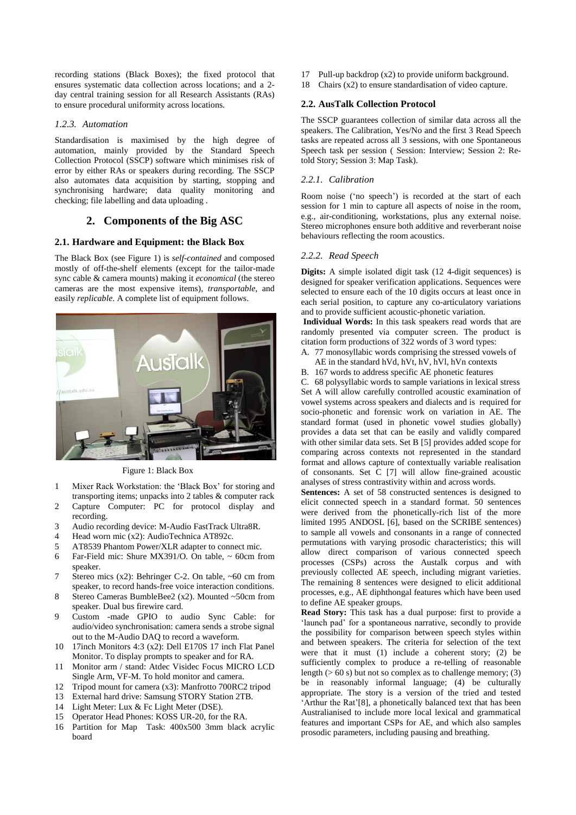recording stations (Black Boxes); the fixed protocol that ensures systematic data collection across locations; and a 2 day central training session for all Research Assistants (RAs) to ensure procedural uniformity across locations.

# *1.2.3. Automation*

Standardisation is maximised by the high degree of automation, mainly provided by the Standard Speech Collection Protocol (SSCP) software which minimises risk of error by either RAs or speakers during recording. The SSCP also automates data acquisition by starting, stopping and synchronising hardware; data quality monitoring and checking; file labelling and data uploading .

# **2. Components of the Big ASC**

# **2.1. Hardware and Equipment: the Black Box**

The Black Box (see Figure 1) is *self-contained* and composed mostly of off-the-shelf elements (except for the tailor-made sync cable & camera mounts) making it *economical* (the stereo cameras are the most expensive items), *transportable*, and easily *replicable*. A complete list of equipment follows.



Figure 1: Black Box

- 1 Mixer Rack Workstation: the 'Black Box' for storing and transporting items; unpacks into 2 tables & computer rack
- 2 Capture Computer: PC for protocol display and recording.
- 3 Audio recording device: M-Audio FastTrack Ultra8R.<br>4 Head worn mic (x2): AudioTechnica AT892c.
- Head worn mic (x2): AudioTechnica AT892c.
- 5 AT8539 Phantom Power/XLR adapter to connect mic.
- 6 Far-Field mic: Shure MX391/O. On table,  $\sim$  60cm from speaker.
- 7 Stereo mics (x2): Behringer C-2. On table, ~60 cm from speaker, to record hands-free voice interaction conditions.
- 8 Stereo Cameras BumbleBee2 (x2). Mounted ~50cm from speaker. Dual bus firewire card.
- 9 Custom -made GPIO to audio Sync Cable: for audio/video synchronisation: camera sends a strobe signal out to the M-Audio DAQ to record a waveform.
- 10 17inch Monitors 4:3 (x2): Dell E170S 17 inch Flat Panel Monitor. To display prompts to speaker and for RA.
- 11 Monitor arm / stand: Atdec Visidec Focus MICRO LCD Single Arm, VF-M. To hold monitor and camera.
- 12 Tripod mount for camera (x3): Manfrotto 700RC2 tripod
- 13 External hard drive: Samsung STORY Station 2TB.
- 14 Light Meter: Lux & Fc Light Meter (DSE).
- 15 Operator Head Phones: KOSS UR-20, for the RA.
- 16 Partition for Map Task: 400x500 3mm black acrylic board
- 17 Pull-up backdrop (x2) to provide uniform background.
- 18 Chairs (x2) to ensure standardisation of video capture.

# **2.2. AusTalk Collection Protocol**

The SSCP guarantees collection of similar data across all the speakers. The Calibration, Yes/No and the first 3 Read Speech tasks are repeated across all 3 sessions, with one Spontaneous Speech task per session ( Session: Interview; Session 2: Retold Story; Session 3: Map Task).

# *2.2.1. Calibration*

Room noise ('no speech') is recorded at the start of each session for 1 min to capture all aspects of noise in the room, e.g., air-conditioning, workstations, plus any external noise. Stereo microphones ensure both additive and reverberant noise behaviours reflecting the room acoustics.

# *2.2.2. Read Speech*

**Digits:** A simple isolated digit task (12 4-digit sequences) is designed for speaker verification applications. Sequences were selected to ensure each of the 10 digits occurs at least once in each serial position, to capture any co-articulatory variations and to provide sufficient acoustic-phonetic variation.

**Individual Words:** In this task speakers read words that are randomly presented via computer screen. The product is citation form productions of 322 words of 3 word types:

- A. 77 monosyllabic words comprising the stressed vowels of
- AE in the standard hVd, hVt, hV, hVl, hVn contexts
- B. 167 words to address specific AE phonetic features

C. 68 polysyllabic words to sample variations in lexical stress Set A will allow carefully controlled acoustic examination of vowel systems across speakers and dialects and is required for socio-phonetic and forensic work on variation in AE. The standard format (used in phonetic vowel studies globally) provides a data set that can be easily and validly compared with other similar data sets. Set B [5] provides added scope for comparing across contexts not represented in the standard format and allows capture of contextually variable realisation of consonants. Set C [7] will allow fine-grained acoustic analyses of stress contrastivity within and across words.

**Sentences:** A set of 58 constructed sentences is designed to elicit connected speech in a standard format. 50 sentences were derived from the phonetically-rich list of the more limited 1995 ANDOSL [6], based on the SCRIBE sentences) to sample all vowels and consonants in a range of connected permutations with varying prosodic characteristics; this will allow direct comparison of various connected speech processes (CSPs) across the Austalk corpus and with previously collected AE speech, including migrant varieties. The remaining 8 sentences were designed to elicit additional processes, e.g., AE diphthongal features which have been used to define AE speaker groups.

**Read Story:** This task has a dual purpose: first to provide a 'launch pad' for a spontaneous narrative, secondly to provide the possibility for comparison between speech styles within and between speakers. The criteria for selection of the text were that it must (1) include a coherent story; (2) be sufficiently complex to produce a re-telling of reasonable length  $($  > 60 s) but not so complex as to challenge memory; (3) be in reasonably informal language; (4) be culturally appropriate. The story is a version of the tried and tested 'Arthur the Rat'[8], a phonetically balanced text that has been Australianised to include more local lexical and grammatical features and important CSPs for AE, and which also samples prosodic parameters, including pausing and breathing.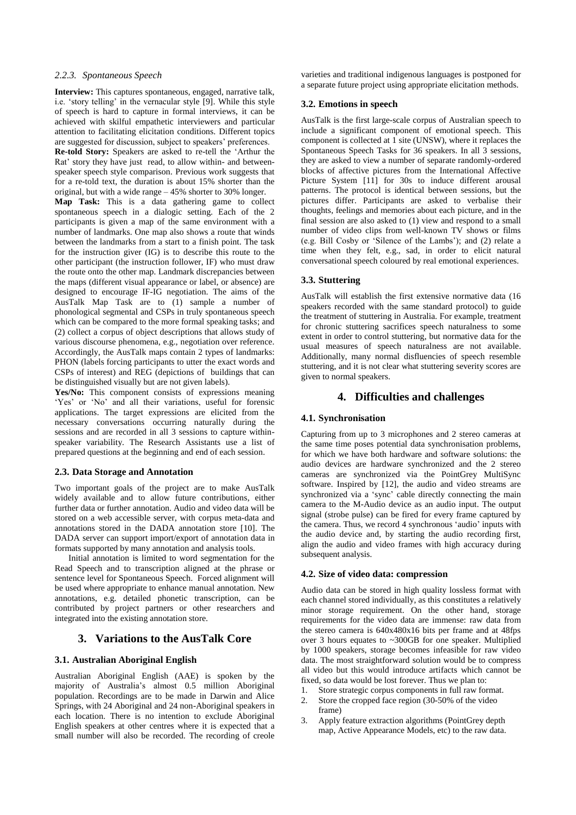#### *2.2.3. Spontaneous Speech*

**Interview:** This captures spontaneous, engaged, narrative talk, i.e. 'story telling' in the vernacular style [9]. While this style of speech is hard to capture in formal interviews, it can be achieved with skilful empathetic interviewers and particular attention to facilitating elicitation conditions. Different topics are suggested for discussion, subject to speakers' preferences.

**Re-told Story:** Speakers are asked to re-tell the 'Arthur the Rat' story they have just read, to allow within- and betweenspeaker speech style comparison. Previous work suggests that for a re-told text, the duration is about 15% shorter than the original, but with a wide range – 45% shorter to 30% longer.

**Map Task:** This is a data gathering game to collect spontaneous speech in a dialogic setting. Each of the 2 participants is given a map of the same environment with a number of landmarks. One map also shows a route that winds between the landmarks from a start to a finish point. The task for the instruction giver (IG) is to describe this route to the other participant (the instruction follower, IF) who must draw the route onto the other map. Landmark discrepancies between the maps (different visual appearance or label, or absence) are designed to encourage IF-IG negotiation. The aims of the AusTalk Map Task are to (1) sample a number of phonological segmental and CSPs in truly spontaneous speech which can be compared to the more formal speaking tasks; and (2) collect a corpus of object descriptions that allows study of various discourse phenomena, e.g., negotiation over reference. Accordingly, the AusTalk maps contain 2 types of landmarks: PHON (labels forcing participants to utter the exact words and CSPs of interest) and REG (depictions of buildings that can be distinguished visually but are not given labels).

**Yes/No:** This component consists of expressions meaning 'Yes' or 'No' and all their variations, useful for forensic applications. The target expressions are elicited from the necessary conversations occurring naturally during the sessions and are recorded in all 3 sessions to capture withinspeaker variability. The Research Assistants use a list of prepared questions at the beginning and end of each session.

### **2.3. Data Storage and Annotation**

Two important goals of the project are to make AusTalk widely available and to allow future contributions, either further data or further annotation. Audio and video data will be stored on a web accessible server, with corpus meta-data and annotations stored in the DADA annotation store [10]. The DADA server can support import/export of annotation data in formats supported by many annotation and analysis tools.

Initial annotation is limited to word segmentation for the Read Speech and to transcription aligned at the phrase or sentence level for Spontaneous Speech. Forced alignment will be used where appropriate to enhance manual annotation. New annotations, e.g. detailed phonetic transcription, can be contributed by project partners or other researchers and integrated into the existing annotation store.

### **3. Variations to the AusTalk Core**

#### **3.1. Australian Aboriginal English**

Australian Aboriginal English (AAE) is spoken by the majority of Australia's almost 0.5 million Aboriginal population. Recordings are to be made in Darwin and Alice Springs, with 24 Aboriginal and 24 non-Aboriginal speakers in each location. There is no intention to exclude Aboriginal English speakers at other centres where it is expected that a small number will also be recorded. The recording of creole varieties and traditional indigenous languages is postponed for a separate future project using appropriate elicitation methods.

#### **3.2. Emotions in speech**

AusTalk is the first large-scale corpus of Australian speech to include a significant component of emotional speech. This component is collected at 1 site (UNSW), where it replaces the Spontaneous Speech Tasks for 36 speakers. In all 3 sessions, they are asked to view a number of separate randomly-ordered blocks of affective pictures from the International Affective Picture System [11] for 30s to induce different arousal patterns. The protocol is identical between sessions, but the pictures differ. Participants are asked to verbalise their thoughts, feelings and memories about each picture, and in the final session are also asked to (1) view and respond to a small number of video clips from well-known TV shows or films (e.g. Bill Cosby or 'Silence of the Lambs'); and (2) relate a time when they felt, e.g., sad, in order to elicit natural conversational speech coloured by real emotional experiences.

# **3.3. Stuttering**

AusTalk will establish the first extensive normative data (16 speakers recorded with the same standard protocol) to guide the treatment of stuttering in Australia. For example, treatment for chronic stuttering sacrifices speech naturalness to some extent in order to control stuttering, but normative data for the usual measures of speech naturalness are not available. Additionally, many normal disfluencies of speech resemble stuttering, and it is not clear what stuttering severity scores are given to normal speakers.

# **4. Difficulties and challenges**

### **4.1. Synchronisation**

Capturing from up to 3 microphones and 2 stereo cameras at the same time poses potential data synchronisation problems, for which we have both hardware and software solutions: the audio devices are hardware synchronized and the 2 stereo cameras are synchronized via the PointGrey MultiSync software. Inspired by [12], the audio and video streams are synchronized via a 'sync' cable directly connecting the main camera to the M-Audio device as an audio input. The output signal (strobe pulse) can be fired for every frame captured by the camera. Thus, we record 4 synchronous 'audio' inputs with the audio device and, by starting the audio recording first, align the audio and video frames with high accuracy during subsequent analysis.

### **4.2. Size of video data: compression**

Audio data can be stored in high quality lossless format with each channel stored individually, as this constitutes a relatively minor storage requirement. On the other hand, storage requirements for the video data are immense: raw data from the stereo camera is 640x480x16 bits per frame and at 48fps over 3 hours equates to ~300GB for one speaker. Multiplied by 1000 speakers, storage becomes infeasible for raw video data. The most straightforward solution would be to compress all video but this would introduce artifacts which cannot be fixed, so data would be lost forever. Thus we plan to:

- 1. Store strategic corpus components in full raw format.
- 2. Store the cropped face region (30-50% of the video frame)
- 3. Apply feature extraction algorithms (PointGrey depth map, Active Appearance Models, etc) to the raw data.